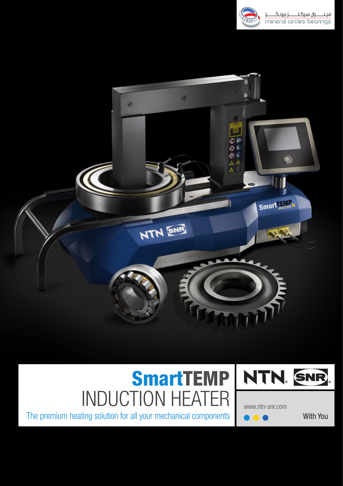



# SmartTEMP INDUCTION HEATER



With You www.ntn-snr.com

The premium heating solution for all your mechanical components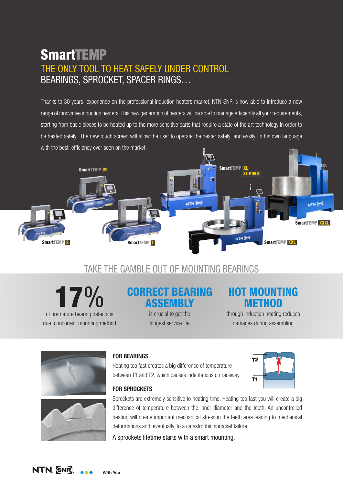# **SmartTEMP** THE ONLY TOOL TO HEAT SAFELY UNDER CONTROL BEARINGS, SPROCKET, SPACER RINGS…

Thanks to 30 years experience on the professional induction heaters market, NTN-SNR is now able to introduce a new range of innovative induction heaters. This new generation of heaters will be able to manage efficiently all your requirements, starting from basic pieces to be heated up to the more sensitive parts that require a state of the art technology in order to be heated safely. The new touch screen will allow the user to operate the heater safely and easily in his own language with the best efficiency ever seen on the market.



# TAKE THE GAMBLE OUT OF MOUNTING BEARINGS

17%

of premature bearing defects is due to incorrect mounting method

### CORRECT BEARING **ASSEMBLY**

is crucial to get the longest service life

## HOT MOUNTING **METHOD**

through induction heating reduces damages during assembling





#### **FOR BEARINGS**

Heating too fast creates a big difference of temperature between T1 and T2, which causes indentations on raceway.



#### **FOR SPROCKETS**

Sprockets are extremely sensitive to heating time. Heating too fast you will create a big difference of temperature between the inner diameter and the teeth. An uncontrolled heating will create important mechanical stress in the teeth area leading to mechanical deformations and, eventually, to a catastrophic sprocket failure.

A sprockets lifetime starts with a smart mounting.

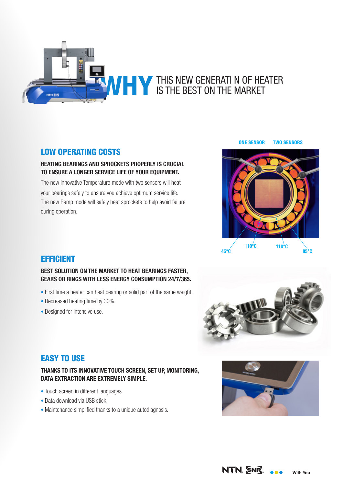

#### LOW OPERATING COSTS

#### **HEATING BEARINGS AND SPROCKETS PROPERLY IS CRUCIAL TO ENSURE A LONGER SERVICE LIFE OF YOUR EQUIPMENT.**

The new innovative Temperature mode with two sensors will heat your bearings safely to ensure you achieve optimum service life. The new Ramp mode will safely heat sprockets to help avoid failure during operation.



#### EFFICIENT

#### **BEST SOLUTION ON THE MARKET TO HEAT BEARINGS FASTER, GEARS OR RINGS WITH LESS ENERGY CONSUMPTION 24/7/365.**

- First time a heater can heat bearing or solid part of the same weight.
- Decreased heating time by 30%.
- Designed for intensive use.



#### EASY TO USE

#### **THANKS TO ITS INNOVATIVE TOUCH SCREEN, SET UP, MONITORING, DATA EXTRACTION ARE EXTREMELY SIMPLE.**

- Touch screen in different languages.
- Data download via USB stick.
- Maintenance simplified thanks to a unique autodiagnosis.